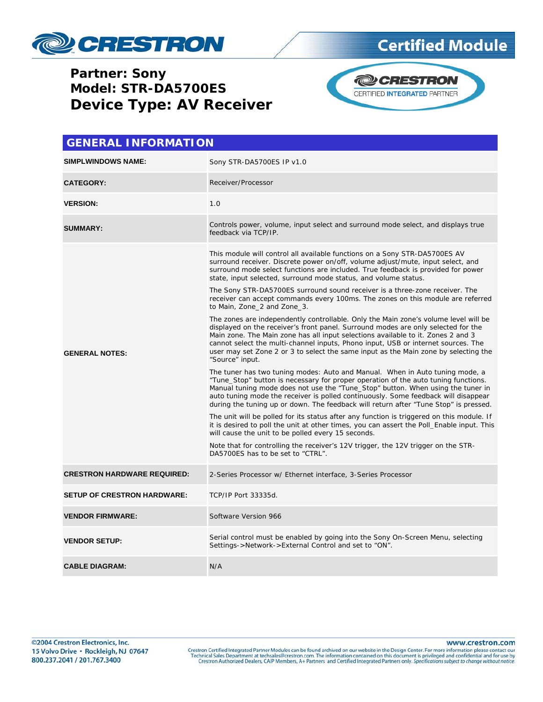

#### **Partner: Sony** Model: STR-DA5700ES **Device Type: AV Receiver**



| <b>GENERAL INFORMATION</b>         |                                                                                                                                                                                                                                                                                                                                                                                                                                                                                            |  |  |  |
|------------------------------------|--------------------------------------------------------------------------------------------------------------------------------------------------------------------------------------------------------------------------------------------------------------------------------------------------------------------------------------------------------------------------------------------------------------------------------------------------------------------------------------------|--|--|--|
| <b>SIMPLWINDOWS NAME:</b>          | Sony STR-DA5700ES IP v1.0                                                                                                                                                                                                                                                                                                                                                                                                                                                                  |  |  |  |
| <b>CATEGORY:</b>                   | Receiver/Processor                                                                                                                                                                                                                                                                                                                                                                                                                                                                         |  |  |  |
| <b>VERSION:</b>                    | 1.0                                                                                                                                                                                                                                                                                                                                                                                                                                                                                        |  |  |  |
| <b>SUMMARY:</b>                    | Controls power, volume, input select and surround mode select, and displays true<br>feedback via TCP/IP.                                                                                                                                                                                                                                                                                                                                                                                   |  |  |  |
| <b>GENERAL NOTES:</b>              | This module will control all available functions on a Sony STR-DA5700ES AV<br>surround receiver. Discrete power on/off, volume adjust/mute, input select, and<br>surround mode select functions are included. True feedback is provided for power<br>state, input selected, surround mode status, and volume status.<br>The Sony STR-DA5700ES surround sound receiver is a three-zone receiver. The<br>receiver can accept commands every 100ms. The zones on this module are referred     |  |  |  |
|                                    | to Main, Zone 2 and Zone 3.<br>The zones are independently controllable. Only the Main zone's volume level will be<br>displayed on the receiver's front panel. Surround modes are only selected for the<br>Main zone. The Main zone has all input selections available to it. Zones 2 and 3<br>cannot select the multi-channel inputs, Phono input, USB or internet sources. The<br>user may set Zone 2 or 3 to select the same input as the Main zone by selecting the<br>"Source" input. |  |  |  |
|                                    | The tuner has two tuning modes: Auto and Manual. When in Auto tuning mode, a<br>"Tune_Stop" button is necessary for proper operation of the auto tuning functions.<br>Manual tuning mode does not use the "Tune_Stop" button. When using the tuner in<br>auto tuning mode the receiver is polled continuously. Some feedback will disappear<br>during the tuning up or down. The feedback will return after "Tune Stop" is pressed.                                                        |  |  |  |
|                                    | The unit will be polled for its status after any function is triggered on this module. If<br>it is desired to poll the unit at other times, you can assert the Poll_Enable input. This<br>will cause the unit to be polled every 15 seconds.                                                                                                                                                                                                                                               |  |  |  |
|                                    | Note that for controlling the receiver's 12V trigger, the 12V trigger on the STR-<br>DA5700ES has to be set to "CTRL".                                                                                                                                                                                                                                                                                                                                                                     |  |  |  |
| <b>CRESTRON HARDWARE REQUIRED:</b> | 2-Series Processor w/ Ethernet interface, 3-Series Processor                                                                                                                                                                                                                                                                                                                                                                                                                               |  |  |  |
| <b>SETUP OF CRESTRON HARDWARE:</b> | TCP/IP Port 33335d.                                                                                                                                                                                                                                                                                                                                                                                                                                                                        |  |  |  |
| <b>VENDOR FIRMWARE:</b>            | Software Version 966                                                                                                                                                                                                                                                                                                                                                                                                                                                                       |  |  |  |
| <b>VENDOR SETUP:</b>               | Serial control must be enabled by going into the Sony On-Screen Menu, selecting<br>Settings->Network->External Control and set to "ON".                                                                                                                                                                                                                                                                                                                                                    |  |  |  |
| <b>CABLE DIAGRAM:</b>              | N/A                                                                                                                                                                                                                                                                                                                                                                                                                                                                                        |  |  |  |

www.crestron.com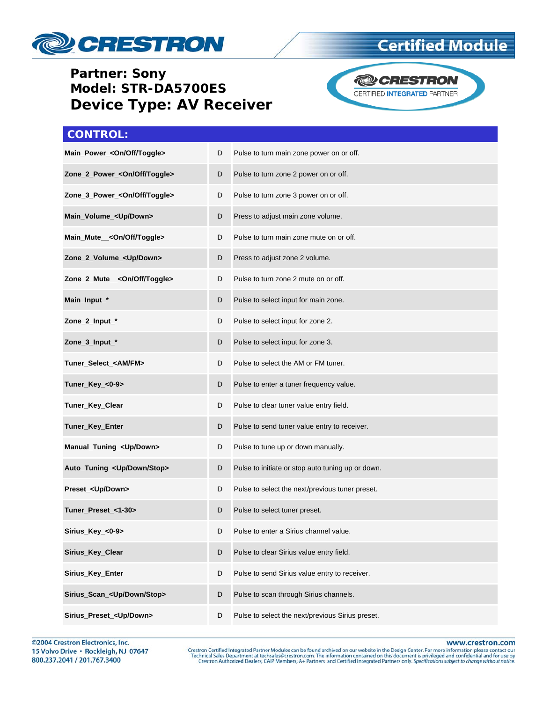

#### **Partner: Sony Model: STR-DA5700ES Device Type: AV Receiver**



**Certified Module** 

| <b>CONTROL:</b>                          |   |                                                   |  |
|------------------------------------------|---|---------------------------------------------------|--|
| Main_Power_ <on off="" toggle=""></on>   | D | Pulse to turn main zone power on or off.          |  |
| Zone_2_Power_ <on off="" toggle=""></on> | D | Pulse to turn zone 2 power on or off.             |  |
| Zone_3_Power_ <on off="" toggle=""></on> | D | Pulse to turn zone 3 power on or off.             |  |
| Main_Volume_ <up down=""></up>           | D | Press to adjust main zone volume.                 |  |
| Main_Mute__ <on off="" toggle=""></on>   | D | Pulse to turn main zone mute on or off.           |  |
| Zone_2_Volume_ <up down=""></up>         | D | Press to adjust zone 2 volume.                    |  |
| Zone_2_Mute__ <on off="" toggle=""></on> | D | Pulse to turn zone 2 mute on or off.              |  |
| Main_Input_*                             | D | Pulse to select input for main zone.              |  |
| Zone_2_Input_*                           | D | Pulse to select input for zone 2.                 |  |
| Zone_3_Input_*                           | D | Pulse to select input for zone 3.                 |  |
| Tuner_Select_ <am fm=""></am>            | D | Pulse to select the AM or FM tuner.               |  |
| Tuner_Key_<0-9>                          | D | Pulse to enter a tuner frequency value.           |  |
| Tuner_Key_Clear                          | D | Pulse to clear tuner value entry field.           |  |
| Tuner_Key_Enter                          | D | Pulse to send tuner value entry to receiver.      |  |
| Manual_Tuning_ <up down=""></up>         | D | Pulse to tune up or down manually.                |  |
| Auto_Tuning_ <up down="" stop=""></up>   | D | Pulse to initiate or stop auto tuning up or down. |  |
| Preset_ <up down=""></up>                | D | Pulse to select the next/previous tuner preset.   |  |
| Tuner Preset <1-30>                      | D | Pulse to select tuner preset.                     |  |
| Sirius_Key_<0-9>                         | D | Pulse to enter a Sirius channel value.            |  |
| Sirius_Key_Clear                         | D | Pulse to clear Sirius value entry field.          |  |
| Sirius_Key_Enter                         | D | Pulse to send Sirius value entry to receiver.     |  |
| Sirius_Scan_ <up down="" stop=""></up>   | D | Pulse to scan through Sirius channels.            |  |
| Sirius_Preset_ <up down=""></up>         | D | Pulse to select the next/previous Sirius preset.  |  |

www.crestron.com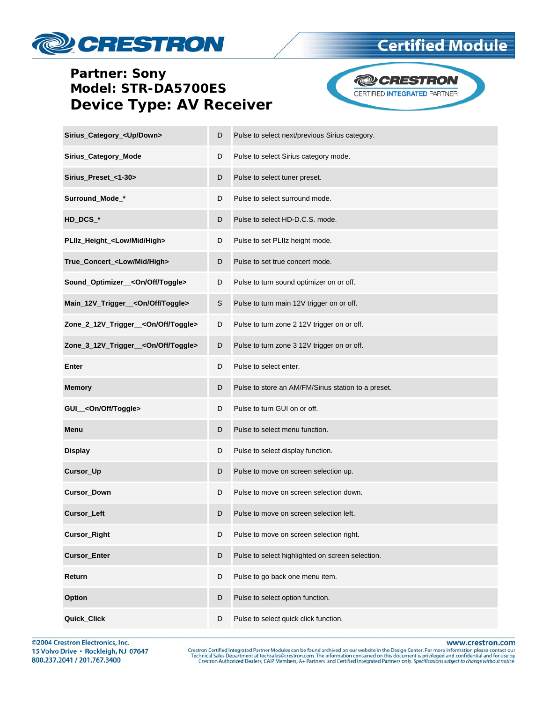## **PESTRON**

#### **Partner: Sony** Model: STR-DA5700ES **Device Type: AV Receiver**



**Certified Module** 

| Sirius_Category_ <up down=""></up>              | D | Pulse to select next/previous Sirius category.      |  |
|-------------------------------------------------|---|-----------------------------------------------------|--|
| Sirius_Category_Mode                            | D | Pulse to select Sirius category mode.               |  |
| Sirius_Preset_<1-30>                            | D | Pulse to select tuner preset.                       |  |
| Surround_Mode_*                                 | D | Pulse to select surround mode.                      |  |
| HD_DCS_*                                        | D | Pulse to select HD-D.C.S. mode.                     |  |
| PLIIz_Height_ <low high="" mid=""></low>        | D | Pulse to set PLIIz height mode.                     |  |
| True_Concert_ <low high="" mid=""></low>        | D | Pulse to set true concert mode.                     |  |
| Sound_Optimizer__ <on off="" toggle=""></on>    | D | Pulse to turn sound optimizer on or off.            |  |
| Main_12V_Trigger__ <on off="" toggle=""></on>   | S | Pulse to turn main 12V trigger on or off.           |  |
| Zone_2_12V_Trigger__ <on off="" toggle=""></on> | D | Pulse to turn zone 2 12V trigger on or off.         |  |
| Zone_3_12V_Trigger__ <on off="" toggle=""></on> | D | Pulse to turn zone 3 12V trigger on or off.         |  |
| Enter                                           | D | Pulse to select enter.                              |  |
| <b>Memory</b>                                   | D | Pulse to store an AM/FM/Sirius station to a preset. |  |
| GUI_ <on off="" toggle=""></on>                 | D | Pulse to turn GUI on or off.                        |  |
| Menu                                            | D | Pulse to select menu function.                      |  |
| <b>Display</b>                                  | D | Pulse to select display function.                   |  |
| Cursor_Up                                       | D | Pulse to move on screen selection up.               |  |
| Cursor_Down                                     | D | Pulse to move on screen selection down.             |  |
| <b>Cursor Left</b>                              | D | Pulse to move on screen selection left.             |  |
| Cursor_Right                                    | D | Pulse to move on screen selection right.            |  |
| <b>Cursor_Enter</b>                             | D | Pulse to select highlighted on screen selection.    |  |
| Return                                          | D | Pulse to go back one menu item.                     |  |
| Option                                          | D | Pulse to select option function.                    |  |
| Quick_Click                                     | D | Pulse to select quick click function.               |  |

©2004 Crestron Electronics, Inc. 15 Volvo Drive · Rockleigh, NJ 07647 800.237.2041 / 201.767.3400

www.crestron.com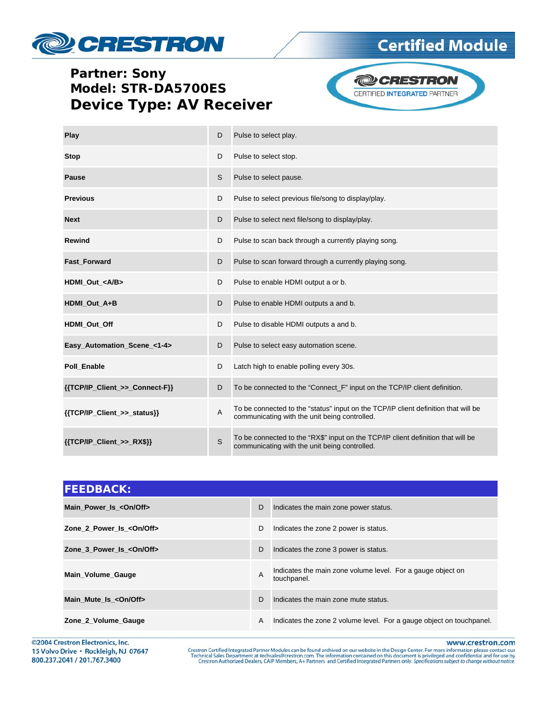# **ORESTRON**

## **Certified Module**

#### **Partner: Sony** Model: STR-DA5700ES **Device Type: AV Receiver**



| Play                           | D | Pulse to select play.                                                                                                               |  |  |
|--------------------------------|---|-------------------------------------------------------------------------------------------------------------------------------------|--|--|
| <b>Stop</b>                    | D | Pulse to select stop.                                                                                                               |  |  |
| <b>Pause</b>                   | S | Pulse to select pause.                                                                                                              |  |  |
| <b>Previous</b>                | D | Pulse to select previous file/song to display/play.                                                                                 |  |  |
| <b>Next</b>                    | D | Pulse to select next file/song to display/play.                                                                                     |  |  |
| Rewind                         | D | Pulse to scan back through a currently playing song.                                                                                |  |  |
| Fast_Forward                   | D | Pulse to scan forward through a currently playing song.                                                                             |  |  |
| HDMI Out <a b=""></a>          | D | Pulse to enable HDMI output a or b.                                                                                                 |  |  |
| HDMI_Out_A+B                   | D | Pulse to enable HDMI outputs a and b.                                                                                               |  |  |
| HDMI Out Off                   | D | Pulse to disable HDMI outputs a and b.                                                                                              |  |  |
| Easy_Automation_Scene_<1-4>    | D | Pulse to select easy automation scene.                                                                                              |  |  |
| Poll_Enable                    | D | Latch high to enable polling every 30s.                                                                                             |  |  |
| {{TCP/IP_Client_>>_Connect-F}} | D | To be connected to the "Connect_F" input on the TCP/IP client definition.                                                           |  |  |
| {{TCP/IP_Client_>>_status}}    | Α | To be connected to the "status" input on the TCP/IP client definition that will be<br>communicating with the unit being controlled. |  |  |
| ${TCP/IP_Client >>_RX$}$       | S | To be connected to the "RX\$" input on the TCP/IP client definition that will be<br>communicating with the unit being controlled.   |  |  |

| <b>FEEDBACK:</b>          |   |                                                                            |
|---------------------------|---|----------------------------------------------------------------------------|
| Main Power Is < On/Off>   | D | Indicates the main zone power status.                                      |
| Zone 2 Power Is < On/Off> | D | Indicates the zone 2 power is status.                                      |
| Zone 3 Power Is < On/Off> | D | Indicates the zone 3 power is status.                                      |
| Main Volume Gauge         | A | Indicates the main zone volume level. For a gauge object on<br>touchpanel. |
| Main Mute Is < On/Off>    | D | Indicates the main zone mute status.                                       |
| Zone_2_Volume_Gauge       | A | Indicates the zone 2 volume level. For a gauge object on touchpanel.       |

©2004 Crestron Electronics, Inc. 15 Volvo Drive · Rockleigh, NJ 07647 800.237.2041 / 201.767.3400

www.crestron.com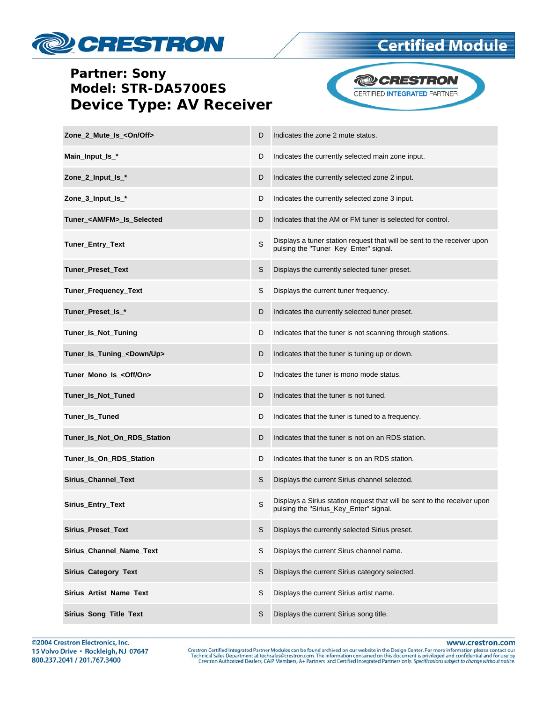

#### **Partner: Sony** Model: STR-DA5700ES **Device Type: AV Receiver**



| Zone 2 Mute Is <0n/0ff>              | D | Indicates the zone 2 mute status.                                                                                  |
|--------------------------------------|---|--------------------------------------------------------------------------------------------------------------------|
| Main_Input_Is_*                      | D | Indicates the currently selected main zone input.                                                                  |
| Zone_2_Input_Is_*                    | D | Indicates the currently selected zone 2 input.                                                                     |
| Zone_3_Input_Is_*                    | D | Indicates the currently selected zone 3 input.                                                                     |
| Tuner <am fm=""> Is Selected</am>    | D | Indicates that the AM or FM tuner is selected for control.                                                         |
| Tuner_Entry_Text                     | S | Displays a tuner station request that will be sent to the receiver upon<br>pulsing the "Tuner_Key_Enter" signal.   |
| Tuner_Preset_Text                    | S | Displays the currently selected tuner preset.                                                                      |
| Tuner_Frequency_Text                 | S | Displays the current tuner frequency.                                                                              |
| Tuner_Preset_Is_*                    | D | Indicates the currently selected tuner preset.                                                                     |
| Tuner_Is_Not_Tuning                  | D | Indicates that the tuner is not scanning through stations.                                                         |
| Tuner_Is_Tuning_ <down up=""></down> | D | Indicates that the tuner is tuning up or down.                                                                     |
| Tuner_Mono_Is_ <off on=""></off>     | D | Indicates the tuner is mono mode status.                                                                           |
| Tuner_Is_Not_Tuned                   | D | Indicates that the tuner is not tuned.                                                                             |
| Tuner_Is_Tuned                       | D | Indicates that the tuner is tuned to a frequency.                                                                  |
| Tuner_Is_Not_On_RDS_Station          | D | Indicates that the tuner is not on an RDS station.                                                                 |
| Tuner_Is_On_RDS_Station              | D | Indicates that the tuner is on an RDS station.                                                                     |
| <b>Sirius Channel Text</b>           | S | Displays the current Sirius channel selected.                                                                      |
| Sirius_Entry_Text                    | S | Displays a Sirius station request that will be sent to the receiver upon<br>pulsing the "Sirius_Key_Enter" signal. |
| Sirius_Preset_Text                   |   | Displays the currently selected Sirius preset.                                                                     |
| Sirius_Channel_Name_Text             | S | Displays the current Sirus channel name.                                                                           |
| Sirius_Category_Text                 | S | Displays the current Sirius category selected.                                                                     |
| Sirius_Artist_Name_Text              | S | Displays the current Sirius artist name.                                                                           |
| Sirius_Song_Title_Text               | S | Displays the current Sirius song title.                                                                            |

www.crestron.com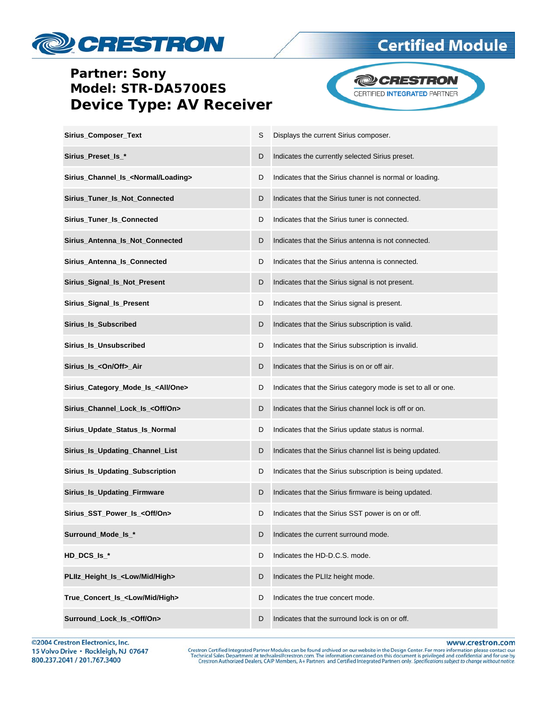

### **Partner: Sony** Model: STR-DA5700ES **Device Type: AV Receiver**



| Sirius_Composer_Text                            | S | Displays the current Sirius composer.                         |
|-------------------------------------------------|---|---------------------------------------------------------------|
| Sirius_Preset_Is_*                              | D | Indicates the currently selected Sirius preset.               |
| Sirius_Channel_Is_ <normal loading=""></normal> | D | Indicates that the Sirius channel is normal or loading.       |
| Sirius_Tuner_Is_Not_Connected                   | D | Indicates that the Sirius tuner is not connected.             |
| Sirius_Tuner_Is_Connected                       | D | Indicates that the Sirius tuner is connected.                 |
| Sirius_Antenna_Is_Not_Connected                 | D | Indicates that the Sirius antenna is not connected.           |
| Sirius_Antenna_Is_Connected                     | D | Indicates that the Sirius antenna is connected.               |
| Sirius_Signal_Is_Not_Present                    | D | Indicates that the Sirius signal is not present.              |
| Sirius_Signal_Is_Present                        | D | Indicates that the Sirius signal is present.                  |
| Sirius_Is_Subscribed                            | D | Indicates that the Sirius subscription is valid.              |
| Sirius_Is_Unsubscribed                          | D | Indicates that the Sirius subscription is invalid.            |
| Sirius_Is_ <on off="">_Air</on>                 | D | Indicates that the Sirius is on or off air.                   |
| Sirius_Category_Mode_Is_ <all one=""></all>     | D | Indicates that the Sirius category mode is set to all or one. |
| Sirius_Channel_Lock_Is_ <off on=""></off>       | D | Indicates that the Sirius channel lock is off or on.          |
| Sirius_Update_Status_Is_Normal                  | D | Indicates that the Sirius update status is normal.            |
| Sirius_Is_Updating_Channel_List                 | D | Indicates that the Sirius channel list is being updated.      |
| Sirius_Is_Updating_Subscription                 | D | Indicates that the Sirius subscription is being updated.      |
| Sirius_Is_Updating_Firmware                     | D | Indicates that the Sirius firmware is being updated.          |
| Sirius_SST_Power_Is_ <off on=""></off>          | D | Indicates that the Sirius SST power is on or off.             |
| Surround_Mode_Is_*                              | D | Indicates the current surround mode.                          |
| HD_DCS_Is_*                                     | D | Indicates the HD-D.C.S. mode.                                 |
| PLIIz_Height_Is_ <low high="" mid=""></low>     | D | Indicates the PLIIz height mode.                              |
| True Concert Is <low high="" mid=""></low>      | D | Indicates the true concert mode.                              |
| Surround_Lock_Is_ <off on=""></off>             | D | Indicates that the surround lock is on or off.                |

©2004 Crestron Electronics, Inc. 15 Volvo Drive · Rockleigh, NJ 07647 800.237.2041 / 201.767.3400

www.crestron.com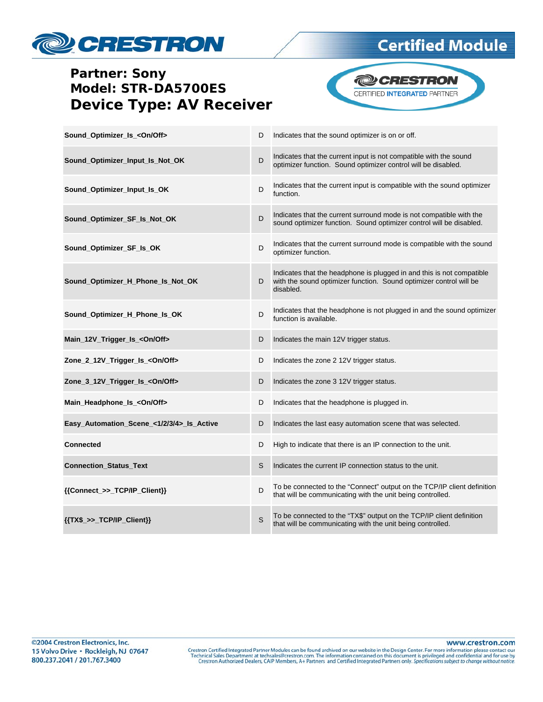## **ORESTRON**

## **Certified Module**

### **Partner: Sony** Model: STR-DA5700ES **Device Type: AV Receiver**



| Sound_Optimizer_Is_ <on off=""></on>      | D | Indicates that the sound optimizer is on or off.                                                                                                         |
|-------------------------------------------|---|----------------------------------------------------------------------------------------------------------------------------------------------------------|
| Sound_Optimizer_Input_Is_Not_OK           | D | Indicates that the current input is not compatible with the sound<br>optimizer function. Sound optimizer control will be disabled.                       |
| Sound_Optimizer_Input_Is_OK               | D | Indicates that the current input is compatible with the sound optimizer<br>function.                                                                     |
| Sound_Optimizer_SF_Is_Not_OK              | D | Indicates that the current surround mode is not compatible with the<br>sound optimizer function. Sound optimizer control will be disabled.               |
| Sound_Optimizer_SF_Is_OK                  | D | Indicates that the current surround mode is compatible with the sound<br>optimizer function.                                                             |
| Sound_Optimizer_H_Phone_Is_Not_OK         | D | Indicates that the headphone is plugged in and this is not compatible<br>with the sound optimizer function. Sound optimizer control will be<br>disabled. |
| Sound_Optimizer_H_Phone_Is_OK             | D | Indicates that the headphone is not plugged in and the sound optimizer<br>function is available.                                                         |
| Main_12V_Trigger_Is_ <on off=""></on>     | D | Indicates the main 12V trigger status.                                                                                                                   |
| Zone_2_12V_Trigger_Is_ <on off=""></on>   | D | Indicates the zone 2 12V trigger status.                                                                                                                 |
| Zone_3_12V_Trigger_Is_ <on off=""></on>   | D | Indicates the zone 3 12V trigger status.                                                                                                                 |
| Main_Headphone_Is_ <on off=""></on>       | D | Indicates that the headphone is plugged in.                                                                                                              |
| Easy_Automation_Scene_<1/2/3/4>_Is_Active | D | Indicates the last easy automation scene that was selected.                                                                                              |
| <b>Connected</b>                          | D | High to indicate that there is an IP connection to the unit.                                                                                             |
| <b>Connection_Status_Text</b>             | S | Indicates the current IP connection status to the unit.                                                                                                  |
| {{Connect_>>_TCP/IP_Client}}              | D | To be connected to the "Connect" output on the TCP/IP client definition<br>that will be communicating with the unit being controlled.                    |
| ${TXX$->TCP/IP_Clien}\$                   | S | To be connected to the "TX\$" output on the TCP/IP client definition<br>that will be communicating with the unit being controlled.                       |

www.crestron.com